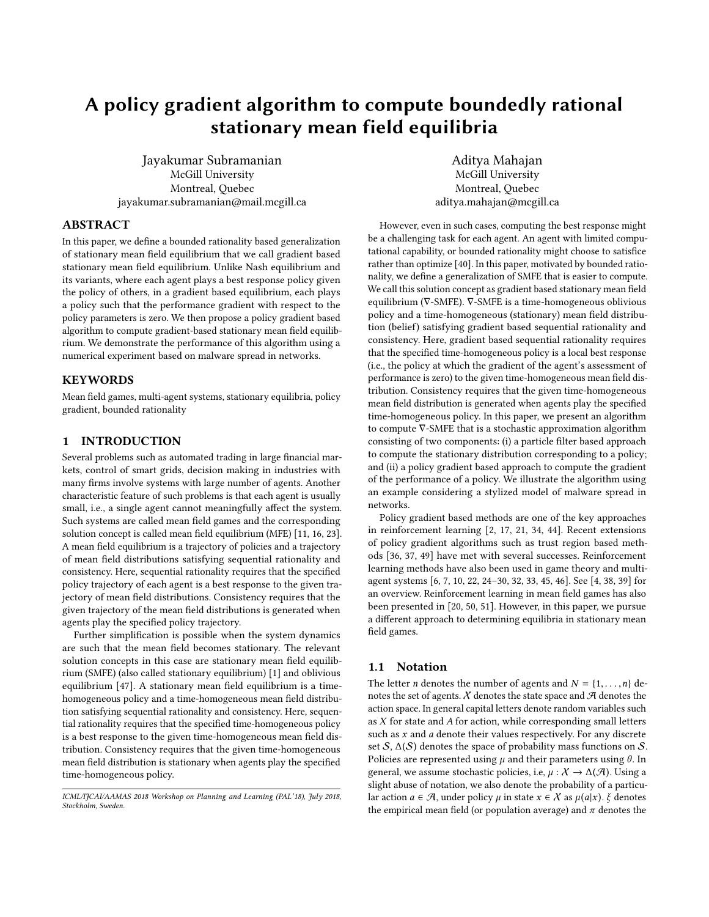# A policy gradient algorithm to compute boundedly rational stationary mean field equilibria

Jayakumar Subramanian McGill University Montreal, Quebec jayakumar.subramanian@mail.mcgill.ca

Aditya Mahajan McGill University Montreal, Quebec aditya.mahajan@mcgill.ca

# ABSTRACT

In this paper, we define a bounded rationality based generalization of stationary mean field equilibrium that we call gradient based stationary mean field equilibrium. Unlike Nash equilibrium and its variants, where each agent plays a best response policy given the policy of others, in a gradient based equilibrium, each plays a policy such that the performance gradient with respect to the policy parameters is zero. We then propose a policy gradient based algorithm to compute gradient-based stationary mean field equilibrium. We demonstrate the performance of this algorithm using a numerical experiment based on malware spread in networks.

# **KEYWORDS**

Mean field games, multi-agent systems, stationary equilibria, policy gradient, bounded rationality

# 1 INTRODUCTION

Several problems such as automated trading in large financial markets, control of smart grids, decision making in industries with many firms involve systems with large number of agents. Another characteristic feature of such problems is that each agent is usually small, i.e., a single agent cannot meaningfully affect the system. Such systems are called mean field games and the corresponding solution concept is called mean field equilibrium (MFE) [\[11,](#page-4-0) [16,](#page-4-1) [23\]](#page-5-0). A mean field equilibrium is a trajectory of policies and a trajectory of mean field distributions satisfying sequential rationality and consistency. Here, sequential rationality requires that the specified policy trajectory of each agent is a best response to the given trajectory of mean field distributions. Consistency requires that the given trajectory of the mean field distributions is generated when agents play the specified policy trajectory.

Further simplification is possible when the system dynamics are such that the mean field becomes stationary. The relevant solution concepts in this case are stationary mean field equilibrium (SMFE) (also called stationary equilibrium) [\[1\]](#page-4-2) and oblivious equilibrium [\[47\]](#page-5-1). A stationary mean field equilibrium is a timehomogeneous policy and a time-homogeneous mean field distribution satisfying sequential rationality and consistency. Here, sequential rationality requires that the specified time-homogeneous policy is a best response to the given time-homogeneous mean field distribution. Consistency requires that the given time-homogeneous mean field distribution is stationary when agents play the specified time-homogeneous policy.

However, even in such cases, computing the best response might be a challenging task for each agent. An agent with limited computational capability, or bounded rationality might choose to satisfice rather than optimize [\[40\]](#page-5-2). In this paper, motivated by bounded rationality, we define a generalization of SMFE that is easier to compute. We call this solution concept as gradient based stationary mean field equilibrium (∇-SMFE). ∇-SMFE is a time-homogeneous oblivious policy and a time-homogeneous (stationary) mean field distribution (belief) satisfying gradient based sequential rationality and consistency. Here, gradient based sequential rationality requires that the specified time-homogeneous policy is a local best response (i.e., the policy at which the gradient of the agent's assessment of performance is zero) to the given time-homogeneous mean field distribution. Consistency requires that the given time-homogeneous mean field distribution is generated when agents play the specified time-homogeneous policy. In this paper, we present an algorithm to compute ∇-SMFE that is a stochastic approximation algorithm consisting of two components: (i) a particle filter based approach to compute the stationary distribution corresponding to a policy; and (ii) a policy gradient based approach to compute the gradient of the performance of a policy. We illustrate the algorithm using an example considering a stylized model of malware spread in networks.

Policy gradient based methods are one of the key approaches in reinforcement learning [\[2,](#page-4-3) [17,](#page-5-3) [21,](#page-5-4) [34,](#page-5-5) [44\]](#page-5-6). Recent extensions of policy gradient algorithms such as trust region based methods [\[36,](#page-5-7) [37,](#page-5-8) [49\]](#page-5-9) have met with several successes. Reinforcement learning methods have also been used in game theory and multiagent systems  $[6, 7, 10, 22, 24-30, 32, 33, 45, 46]$  $[6, 7, 10, 22, 24-30, 32, 33, 45, 46]$  $[6, 7, 10, 22, 24-30, 32, 33, 45, 46]$  $[6, 7, 10, 22, 24-30, 32, 33, 45, 46]$  $[6, 7, 10, 22, 24-30, 32, 33, 45, 46]$  $[6, 7, 10, 22, 24-30, 32, 33, 45, 46]$  $[6, 7, 10, 22, 24-30, 32, 33, 45, 46]$  $[6, 7, 10, 22, 24-30, 32, 33, 45, 46]$  $[6, 7, 10, 22, 24-30, 32, 33, 45, 46]$  $[6, 7, 10, 22, 24-30, 32, 33, 45, 46]$  $[6, 7, 10, 22, 24-30, 32, 33, 45, 46]$  $[6, 7, 10, 22, 24-30, 32, 33, 45, 46]$  $[6, 7, 10, 22, 24-30, 32, 33, 45, 46]$  $[6, 7, 10, 22, 24-30, 32, 33, 45, 46]$  $[6, 7, 10, 22, 24-30, 32, 33, 45, 46]$  $[6, 7, 10, 22, 24-30, 32, 33, 45, 46]$ . See  $[4, 38, 39]$  $[4, 38, 39]$  $[4, 38, 39]$  $[4, 38, 39]$  for an overview. Reinforcement learning in mean field games has also been presented in [\[20,](#page-5-19) [50,](#page-5-20) [51\]](#page-5-21). However, in this paper, we pursue a different approach to determining equilibria in stationary mean field games.

### 1.1 Notation

The letter *n* denotes the number of agents and  $N = \{1, \ldots, n\}$  denotes the set of agents.  $\chi$  denotes the state space and  $\mathcal A$  denotes the action space. In general capital letters denote random variables such as X for state and A for action, while corresponding small letters such as  $x$  and  $a$  denote their values respectively. For any discrete set S,  $\Delta(S)$  denotes the space of probability mass functions on S. Policies are represented using  $\mu$  and their parameters using  $\theta$ . In general, we assume stochastic policies, i.e,  $\mu : \mathcal{X} \to \Delta(\mathcal{A})$ . Using a slight abuse of notation, we also denote the probability of a particular action  $a \in \mathcal{A}$ , under policy  $\mu$  in state  $x \in \mathcal{X}$  as  $\mu(a|x)$ .  $\xi$  denotes the empirical mean field (or population average) and  $\pi$  denotes the

ICML/IJCAI/AAMAS 2018 Workshop on Planning and Learning (PAL'18), July 2018, Stockholm, Sweden.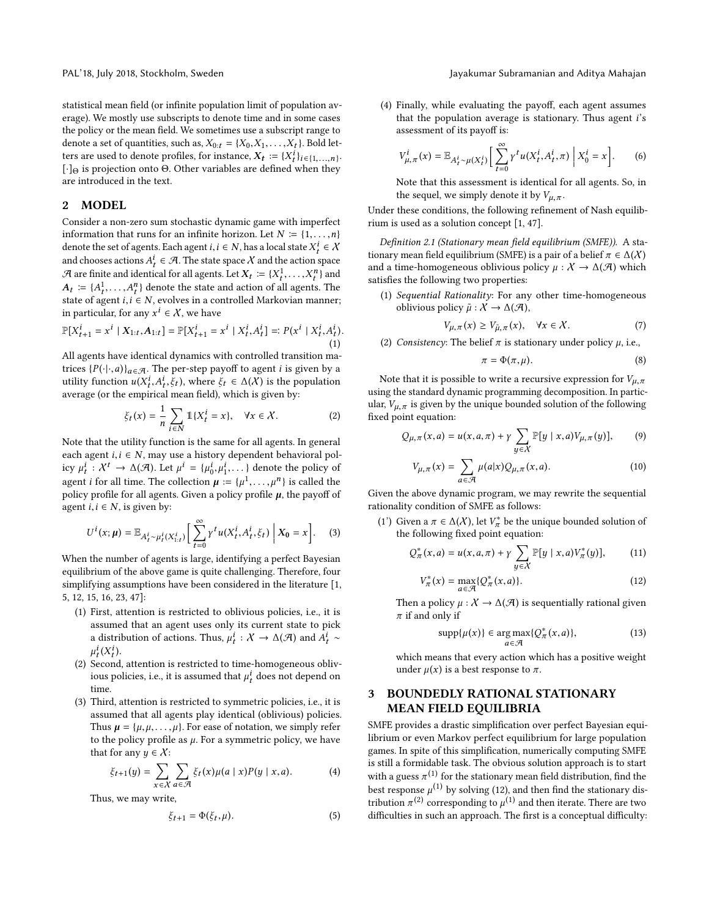statistical mean field (or infinite population limit of population average). We mostly use subscripts to denote time and in some cases the policy or the mean field. We sometimes use a subscript range to denote a set of quantities, such as,  $X_{0:t} = \{X_0, X_1, \ldots, X_t\}$ . Bold letters are used to denote profiles, for instance,  $X_t := \{X_t^i\}_{i \in \{1, ..., n\}}$ . [·]<sup>Θ</sup> is projection onto Θ. Other variables are defined when they are introduced in the text.

# 2 MODEL

Consider a non-zero sum stochastic dynamic game with imperfect information that runs for an infinite horizon. Let  $N \coloneqq \{1, \ldots, n\}$ denote the set of agents. Each agent  $i, i \in N$ , has a local state  $X_t^i \in \mathcal{X}$ and chooses actions  $A_t^i \in \mathcal{A}$  . The state space  $\mathcal X$  and the action space  $\mathcal A$  are finite and identical for all agents. Let  $X_t := \{X_t^1, \ldots, X_t^n\}$  and  $A_t := \{A_t^1, \ldots, A_t^n\}$  denote the state and action of all agents. The state of agent  $i, i \in N$ , evolves in a controlled Markovian manner; in particular, for any  $x^i \in \mathcal{X}$ , we have

$$
\mathbb{P}[X_{t+1}^i = x^i \mid X_{1:t}, A_{1:t}] = \mathbb{P}[X_{t+1}^i = x^i \mid X_t^i, A_t^i] =: P(x^i \mid X_t^i, A_t^i). \tag{1}
$$

All agents have identical dynamics with controlled transition matrices  $\{P(\cdot|\cdot,a)\}_{a\in\mathcal{A}}$ . The per-step payoff to agent *i* is given by a utility function  $u(X_t^i, A_t^i, \xi_t)$ , where  $\xi_t \in \Delta(\mathcal{X})$  is the population average (or the empirical mean field), which is given by:

$$
\xi_t(x) = \frac{1}{n} \sum_{i \in N} \mathbb{1}\{X_t^i = x\}, \quad \forall x \in \mathcal{X}.
$$
 (2)

Note that the utility function is the same for all agents. In general each agent  $i, i \in N$ , may use a history dependent behavioral policy  $\mu_t^i : \mathcal{X}^t \to \Delta(\mathcal{A})$ . Let  $\mu^i = {\mu_0^i, \mu_1^i, \dots}$  denote the policy of agent *i* for all time. The collection  $\mu := {\mu^1, \dots, \mu^n}$  is called the policy profile for all agents. Given a policy profile  $\mu$ , the payoff of agent  $i, i \in N$ , is given by:

$$
U^{i}(x;\mu) = \mathbb{E}_{A_{t}^{i} \sim \mu_{t}^{i}(X_{1:t}^{i})} \bigg[ \sum_{t=0}^{\infty} \gamma^{t} u(X_{t}^{i}, A_{t}^{i}, \xi_{t}) \bigg| X_{0} = x \bigg]. \tag{3}
$$

When the number of agents is large, identifying a perfect Bayesian equilibrium of the above game is quite challenging. Therefore, four simplifying assumptions have been considered in the literature [\[1,](#page-4-2) [5,](#page-4-8) [12,](#page-4-9) [15,](#page-4-10) [16,](#page-4-1) [23,](#page-5-0) [47\]](#page-5-1):

- (1) First, attention is restricted to oblivious policies, i.e., it is assumed that an agent uses only its current state to pick a distribution of actions. Thus,  $\mu_t^i : \mathcal{X} \to \Delta(\mathcal{A})$  and  $\overline{A}_t^i \sim$  $\mu_t^i(X_t^i)$ .
- (2) Second, attention is restricted to time-homogeneous oblivious policies, i.e., it is assumed that  $\mu_t^i$  does not depend on time.
- (3) Third, attention is restricted to symmetric policies, i.e., it is assumed that all agents play identical (oblivious) policies. Thus  $\mu = {\mu, \mu, \dots, \mu}$ . For ease of notation, we simply refer to the policy profile as  $\mu$ . For a symmetric policy, we have that for any  $y \in \mathcal{X}$ :

$$
\xi_{t+1}(y) = \sum_{x \in \mathcal{X}} \sum_{a \in \mathcal{A}} \xi_t(x) \mu(a \mid x) P(y \mid x, a). \tag{4}
$$

Thus, we may write,

$$
\xi_{t+1} = \Phi(\xi_t, \mu). \tag{5}
$$

(4) Finally, while evaluating the payoff, each agent assumes that the population average is stationary. Thus agent  $i$ 's assessment of its payoff is:

$$
V^i_{\mu,\pi}(x) = \mathbb{E}_{A^i_t \sim \mu(X^i_t)} \left[ \sum_{t=0}^{\infty} \gamma^t u(X^i_t, A^i_t, \pi) \middle| X^i_0 = x \right]. \tag{6}
$$

Note that this assessment is identical for all agents. So, in the sequel, we simply denote it by  $V_{\mu, \pi}$ .

Under these conditions, the following refinement of Nash equilibrium is used as a solution concept [\[1,](#page-4-2) [47\]](#page-5-1).

Definition 2.1 (Stationary mean field equilibrium (SMFE)). A stationary mean field equilibrium (SMFE) is a pair of a belief  $\pi \in \Delta(X)$ and a time-homogeneous oblivious policy  $\mu : \mathcal{X} \to \Delta(\mathcal{A})$  which satisfies the following two properties:

(1) Sequential Rationality: For any other time-homogeneous oblivious policy  $\tilde{\mu}: X \to \Delta(\mathcal{A}),$ 

$$
V_{\mu,\pi}(x) \ge V_{\tilde{\mu},\pi}(x), \quad \forall x \in \mathcal{X}.
$$
 (7)

(2) Consistency: The belief  $\pi$  is stationary under policy  $\mu$ , i.e.,

<span id="page-1-2"></span><span id="page-1-1"></span>
$$
\pi = \Phi(\pi, \mu). \tag{8}
$$

Note that it is possible to write a recursive expression for  $V_{\mu,\pi}$ using the standard dynamic programming decomposition. In particular,  $V_{\mu,\pi}$  is given by the unique bounded solution of the following fixed point equation:

$$
Q_{\mu,\pi}(x,a) = u(x,a,\pi) + \gamma \sum_{y \in \mathcal{X}} \mathbb{P}[y \mid x, a) V_{\mu,\pi}(y)], \qquad (9)
$$

$$
V_{\mu,\pi}(x) = \sum_{a \in \mathcal{A}} \mu(a|x) Q_{\mu,\pi}(x,a). \tag{10}
$$

Given the above dynamic program, we may rewrite the sequential rationality condition of SMFE as follows:

(1') Given a  $\pi \in \Delta(X)$ , let  $V^*_{\pi}$  be the unique bounded solution of the following fixed point equation:

$$
Q_{\pi}^{*}(x, a) = u(x, a, \pi) + \gamma \sum_{y \in X} \mathbb{P}[y | x, a) V_{\pi}^{*}(y)], \qquad (11)
$$

$$
V_{\pi}^{*}(x) = \max_{a \in \mathcal{A}} \{ Q_{\pi}^{*}(x, a) \}.
$$
 (12)

Then a policy  $\mu : \mathcal{X} \to \Delta(\mathcal{A})$  is sequentially rational given  $\pi$  if and only if

<span id="page-1-0"></span>
$$
\operatorname{supp}\{\mu(x)\} \in \underset{a \in \mathcal{A}}{\operatorname{arg\,max}} \{Q^*_{\pi}(x, a)\},\tag{13}
$$

which means that every action which has a positive weight under  $\mu(x)$  is a best response to  $\pi$ .

# 3 BOUNDEDLY RATIONAL STATIONARY MEAN FIELD EQUILIBRIA

SMFE provides a drastic simplification over perfect Bayesian equilibrium or even Markov perfect equilibrium for large population games. In spite of this simplification, numerically computing SMFE is still a formidable task. The obvious solution approach is to start with a guess  $\pi^{(1)}$  for the stationary mean field distribution, find the best response  $\mu^{(1)}$  by solving [\(12\)](#page-1-0), and then find the stationary distribution  $\pi^{(2)}$  corresponding to  $\mu^{(1)}$  and then iterate. There are two difficulties in such an approach. The first is a conceptual difficulty: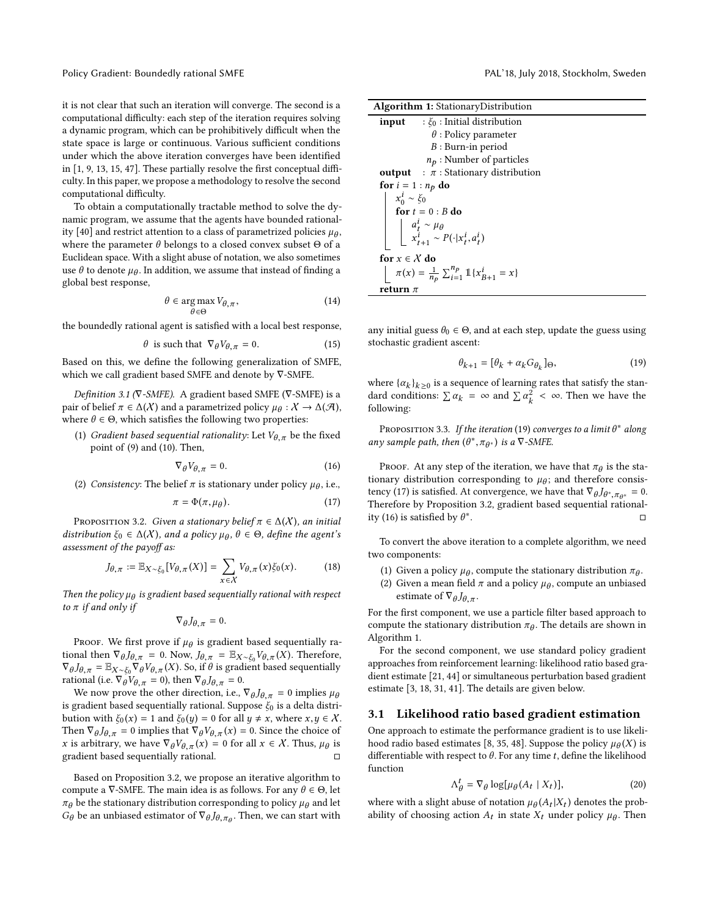Policy Gradient: Boundedly rational SMFE **PAL'18, July 2018, Stockholm, Sweden** PAL'18, July 2018, Stockholm, Sweden

it is not clear that such an iteration will converge. The second is a computational difficulty: each step of the iteration requires solving a dynamic program, which can be prohibitively difficult when the state space is large or continuous. Various sufficient conditions under which the above iteration converges have been identified in [\[1,](#page-4-2) [9,](#page-4-11) [13,](#page-4-12) [15,](#page-4-10) [47\]](#page-5-1). These partially resolve the first conceptual difficulty. In this paper, we propose a methodology to resolve the second computational difficulty.

To obtain a computationally tractable method to solve the dynamic program, we assume that the agents have bounded rational-ity [\[40\]](#page-5-2) and restrict attention to a class of parametrized policies  $\mu_{\theta}$ , where the parameter  $\theta$  belongs to a closed convex subset  $\Theta$  of a Euclidean space. With a slight abuse of notation, we also sometimes use  $\theta$  to denote  $\mu_{\theta}$ . In addition, we assume that instead of finding a global best response,

$$
\theta \in \underset{\theta \in \Theta}{\arg \max} V_{\theta, \pi},\tag{14}
$$

the boundedly rational agent is satisfied with a local best response,

$$
\theta \text{ is such that } \nabla_{\theta} V_{\theta,\pi} = 0. \tag{15}
$$

Based on this, we define the following generalization of SMFE, which we call gradient based SMFE and denote by ∇-SMFE.

Definition 3.1 ( $\nabla$ -SMFE). A gradient based SMFE ( $\nabla$ -SMFE) is a pair of belief  $\pi \in \Delta(X)$  and a parametrized policy  $\mu_{\theta}: X \to \Delta(\mathcal{A}),$ where  $\theta \in \Theta$ , which satisfies the following two properties:

(1) Gradient based sequential rationality: Let  $V_{\theta,\pi}$  be the fixed point of [\(9\)](#page-1-1) and [\(10\)](#page-1-2). Then,

<span id="page-2-3"></span>
$$
\nabla_{\theta} V_{\theta, \pi} = 0. \tag{16}
$$

(2) Consistency: The belief  $\pi$  is stationary under policy  $\mu_{\theta}$ , i.e.,

<span id="page-2-2"></span>
$$
\pi = \Phi(\pi, \mu_{\theta}).\tag{17}
$$

<span id="page-2-0"></span>PROPOSITION 3.2. Given a stationary belief  $\pi \in \Delta(X)$ , an initial distribution  $\xi_0 \in \Delta(X)$ , and a policy  $\mu_\theta$ ,  $\theta \in \Theta$ , define the agent's assessment of the payoff as:

$$
J_{\theta,\pi} := \mathbb{E}_{X \sim \xi_0} [V_{\theta,\pi}(X)] = \sum_{x \in \mathcal{X}} V_{\theta,\pi}(x) \xi_0(x). \tag{18}
$$

Then the policy  $\mu_\theta$  is gradient based sequentially rational with respect to  $\pi$  if and only if

$$
\nabla_\theta J_{\theta,\pi}=0.
$$

Proof. We first prove if  $\mu_{\theta}$  is gradient based sequentially rational then  $\nabla_{\theta} J_{\theta,\pi} = 0$ . Now,  $J_{\theta,\pi} = \mathbb{E}_{X \sim \xi_0} V_{\theta,\pi}(X)$ . Therefore,  $\nabla_{\theta} J_{\theta, \pi} = \mathbb{E}_{X \sim \xi_0} \nabla_{\theta} V_{\theta, \pi}(X)$ . So, if  $\theta$  is gradient based sequentially rational (i.e.  $\nabla_{\theta} V_{\theta, \pi} = 0$ ), then  $\nabla_{\theta} J_{\theta, \pi} = 0$ .

We now prove the other direction, i.e.,  $\nabla_{\theta} J_{\theta, \pi} = 0$  implies  $\mu_{\theta}$ is gradient based sequentially rational. Suppose  $\xi_0$  is a delta distribution with  $\xi_0(x) = 1$  and  $\xi_0(y) = 0$  for all  $y \neq x$ , where  $x, y \in \mathcal{X}$ . Then  $\nabla_{\theta} J_{\theta, \pi} = 0$  implies that  $\nabla_{\theta} V_{\theta, \pi}(x) = 0$ . Since the choice of x is arbitrary, we have  $\nabla_{\theta} V_{\theta, \pi}(x) = 0$  for all  $x \in \mathcal{X}$ . Thus,  $\mu_{\theta}$  is gradient based sequentially rational.  $□$ 

Based on Proposition [3.2,](#page-2-0) we propose an iterative algorithm to compute a  $\nabla$ -SMFE. The main idea is as follows. For any  $\theta \in \Theta$ , let  $\pi_{\theta}$  be the stationary distribution corresponding to policy  $\mu_{\theta}$  and let  $G_{\theta}$  be an unbiased estimator of  $\nabla_{\theta} J_{\theta, \pi_{\theta}}$ . Then, we can start with

Algorithm 1: StationaryDistribution

| : $\xi_0$ : Initial distribution<br>input                                                                                                              |
|--------------------------------------------------------------------------------------------------------------------------------------------------------|
| $\theta$ : Policy parameter                                                                                                                            |
| $B:$ Burn-in period                                                                                                                                    |
| $n_p$ : Number of particles                                                                                                                            |
| <b>output</b> : $\pi$ : Stationary distribution                                                                                                        |
| for $i = 1 : n_p$ do                                                                                                                                   |
| $\begin{vmatrix} x_0^i \sim \xi_0 \\ \textbf{for } t = 0 : B \textbf{ do} \end{vmatrix}$                                                               |
|                                                                                                                                                        |
|                                                                                                                                                        |
| $\begin{array}{c} \begin{array}{c} \begin{array}{c} a_t^i \sim \mu_\theta \\ x_{t+1}^i \sim P(\cdot x_t^i, a_t^i) \end{array} \end{array} \end{array}$ |
| for $x \in \mathcal{X}$ do                                                                                                                             |
| $\pi(x) = \frac{1}{n_0} \sum_{i=1}^{n_p} \mathbb{1}\{x_{B+1}^i = x\}$                                                                                  |
| return $\pi$                                                                                                                                           |

<span id="page-2-4"></span>any initial guess  $\theta_0 \in \Theta$ , and at each step, update the guess using stochastic gradient ascent:

<span id="page-2-1"></span>
$$
\theta_{k+1} = [\theta_k + \alpha_k G_{\theta_k}]_{\Theta},\tag{19}
$$

where  $\{\alpha_k\}_{k\geq 0}$  is a sequence of learning rates that satisfy the standard conditions:  $\sum \alpha_k = \infty$  and  $\sum \alpha_k^2 < \infty$ . Then we have the following:

Proposition 3.3. If the iteration [\(19\)](#page-2-1) converges to a limit  $\theta^*$  along any sample path, then  $(\theta^*, \pi_{\theta^*})$  is a  $\nabla$ -SMFE.

Proof. At any step of the iteration, we have that  $\pi_{\theta}$  is the stationary distribution corresponding to  $\mu_{\theta}$ ; and therefore consis-tency [\(17\)](#page-2-2) is satisfied. At convergence, we have that  $\nabla_{\theta} J_{\theta^*, \pi_{\theta^*}} = 0$ . Therefore by Proposition [3.2,](#page-2-0) gradient based sequential rational-ity [\(16\)](#page-2-3) is satisfied by  $\theta^*$ . □

To convert the above iteration to a complete algorithm, we need two components:

- (1) Given a policy  $\mu_{\theta}$ , compute the stationary distribution  $\pi_{\theta}$ .
- (2) Given a mean field  $\pi$  and a policy  $\mu_{\theta}$ , compute an unbiased estimate of  $\nabla_{\theta} J_{\theta, \pi}$ .

For the first component, we use a particle filter based approach to compute the stationary distribution  $\pi_{\theta}$ . The details are shown in Algorithm [1.](#page-2-4)

For the second component, we use standard policy gradient approaches from reinforcement learning: likelihood ratio based gradient estimate [\[21,](#page-5-4) [44\]](#page-5-6) or simultaneous perturbation based gradient estimate [\[3,](#page-4-13) [18,](#page-5-22) [31,](#page-5-23) [41\]](#page-5-24). The details are given below.

#### 3.1 Likelihood ratio based gradient estimation

One approach to estimate the performance gradient is to use likeli-hood radio based estimates [\[8,](#page-4-14) [35,](#page-5-25) [48\]](#page-5-26). Suppose the policy  $\mu_{\theta}(X)$  is differentiable with respect to  $\theta$ . For any time t, define the likelihood function

$$
\Lambda_{\theta}^{t} = \nabla_{\theta} \log[\mu_{\theta}(A_t \mid X_t)],\tag{20}
$$

where with a slight abuse of notation  $\mu_{\theta}(A_t|X_t)$  denotes the probability of choosing action  $A_t$  in state  $X_t$  under policy  $\mu_{\theta}$ . Then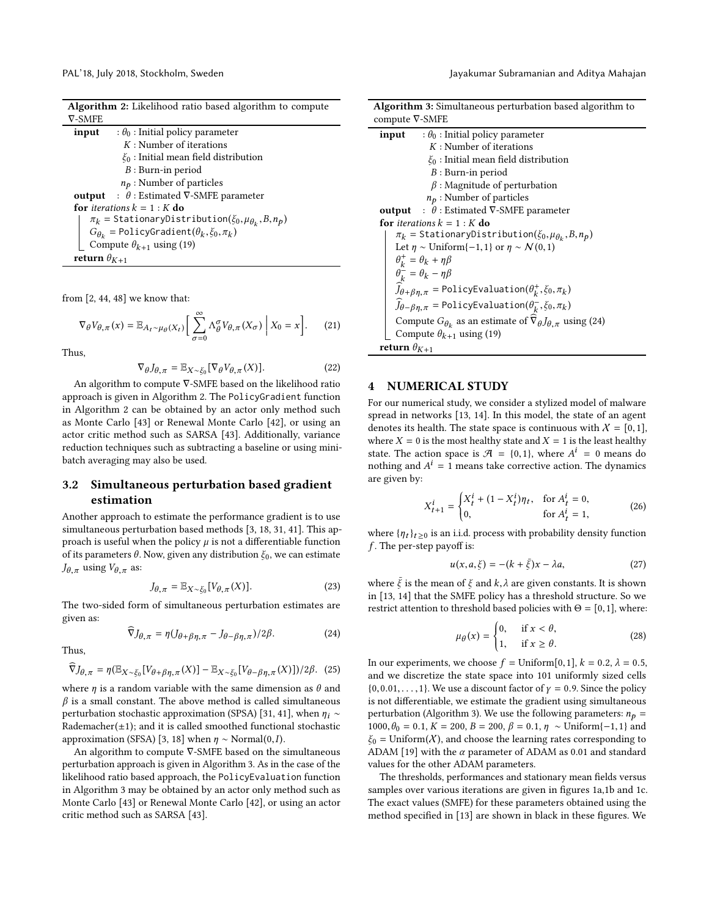| Algorithm 2: Likelihood ratio based algorithm to compute |  |  |
|----------------------------------------------------------|--|--|
| $\nabla$ -SMFE                                           |  |  |

| input                 | : $\theta_0$ : Initial policy parameter                             |
|-----------------------|---------------------------------------------------------------------|
|                       | $K:$ Number of iterations                                           |
|                       | $\xi_0$ : Initial mean field distribution                           |
|                       | $B:$ Burn-in period                                                 |
|                       | $n_p$ : Number of particles                                         |
|                       | <b>output</b> : $\theta$ : Estimated $\nabla$ -SMFE parameter       |
|                       | for <i>iterations</i> $k = 1 : K$ do                                |
|                       | $\pi_k$ = StationaryDistribution( $\xi_0, \mu_{\theta_k}, B, n_p$ ) |
|                       | $G_{\theta_k}$ = PolicyGradient( $\theta_k$ , $\xi_0$ , $\pi_k$ )   |
|                       | Compute $\theta_{k+1}$ using (19)                                   |
| return $\theta_{K+1}$ |                                                                     |

from [\[2,](#page-4-3) [44,](#page-5-6) [48\]](#page-5-26) we know that:

<span id="page-3-0"></span>
$$
\nabla_{\theta} V_{\theta,\pi}(x) = \mathbb{E}_{A_t \sim \mu_{\theta}(X_t)} \left[ \sum_{\sigma=0}^{\infty} \Lambda_{\theta}^{\sigma} V_{\theta,\pi}(X_{\sigma}) \middle| X_0 = x \right].
$$
 (21)

Thus,

$$
\nabla_{\theta} J_{\theta,\pi} = \mathbb{E}_{X \sim \xi_0} [\nabla_{\theta} V_{\theta,\pi}(X)]. \tag{22}
$$

An algorithm to compute ∇-SMFE based on the likelihood ratio approach is given in Algorithm [2.](#page-3-0) The PolicyGradient function in Algorithm [2](#page-3-0) can be obtained by an actor only method such as Monte Carlo [\[43\]](#page-5-27) or Renewal Monte Carlo [\[42\]](#page-5-28), or using an actor critic method such as SARSA [\[43\]](#page-5-27). Additionally, variance reduction techniques such as subtracting a baseline or using minibatch averaging may also be used.

# 3.2 Simultaneous perturbation based gradient estimation

Another approach to estimate the performance gradient is to use simultaneous perturbation based methods [\[3,](#page-4-13) [18,](#page-5-22) [31,](#page-5-23) [41\]](#page-5-24). This approach is useful when the policy  $\mu$  is not a differentiable function of its parameters  $\theta$ . Now, given any distribution  $\xi_0$ , we can estimate  $J_{\theta,\pi}$  using  $V_{\theta,\pi}$  as:

$$
J_{\theta,\pi} = \mathbb{E}_{X \sim \xi_0} [V_{\theta,\pi}(X)]. \tag{23}
$$

The two-sided form of simultaneous perturbation estimates are given as:

<span id="page-3-2"></span>
$$
\widehat{\nabla}J_{\theta,\pi} = \eta(J_{\theta+\beta\eta,\pi} - J_{\theta-\beta\eta,\pi})/2\beta.
$$
 (24)

Thus,

$$
\widehat{\nabla}J_{\theta,\pi} = \eta(\mathbb{E}_{X \sim \xi_0} [V_{\theta + \beta \eta,\pi}(X)] - \mathbb{E}_{X \sim \xi_0} [V_{\theta - \beta \eta,\pi}(X)])/2\beta. \tag{25}
$$

where  $\eta$  is a random variable with the same dimension as  $\theta$  and  $\beta$  is a small constant. The above method is called simultaneous perturbation stochastic approximation (SPSA) [\[31,](#page-5-23) [41\]](#page-5-24), when  $\eta_i \sim$ Rademacher( $\pm$ 1); and it is called smoothed functional stochastic approximation (SFSA) [\[3,](#page-4-13) [18\]](#page-5-22) when  $\eta \sim \text{Normal}(0, I)$ .

An algorithm to compute ∇-SMFE based on the simultaneous perturbation approach is given in Algorithm [3.](#page-3-1) As in the case of the likelihood ratio based approach, the PolicyEvaluation function in Algorithm [3](#page-3-1) may be obtained by an actor only method such as Monte Carlo [\[43\]](#page-5-27) or Renewal Monte Carlo [\[42\]](#page-5-28), or using an actor critic method such as SARSA [\[43\]](#page-5-27).

PAL'18, July 2018, Stockholm, Sweden Jayakumar Subramanian and Aditya Mahajan

| <b>Algorithm 3:</b> Simultaneous perturbation based algorithm to                                |  |  |
|-------------------------------------------------------------------------------------------------|--|--|
| compute $\nabla$ -SMFE                                                                          |  |  |
| $\theta_0$ : Initial policy parameter<br>input                                                  |  |  |
| $K:$ Number of iterations                                                                       |  |  |
| $\xi_0$ : Initial mean field distribution                                                       |  |  |
| $B:$ Burn-in period                                                                             |  |  |
| $\beta$ : Magnitude of perturbation                                                             |  |  |
| $n_p$ : Number of particles                                                                     |  |  |
| <b>output</b> : $\theta$ : Estimated $\nabla$ -SMFE parameter                                   |  |  |
| <b>for</b> iterations $k = 1 : K$ <b>do</b>                                                     |  |  |
| $\pi_k$ = StationaryDistribution( $\xi_0, \mu_{\theta_k}, B, n_p$ )                             |  |  |
| Let $\eta \sim$ Uniform $\{-1,1\}$ or $\eta \sim \mathcal{N}(0,1)$                              |  |  |
| $\theta_k^+ = \theta_k + \eta \beta$                                                            |  |  |
| $\theta_k^- = \theta_k - \eta \beta$                                                            |  |  |
| $\widehat{J}_{\theta+\beta\eta,\pi}$ = PolicyEvaluation $(\theta_k^+, \xi_0, \pi_k)$            |  |  |
| $\tilde{J}_{\theta-\beta\eta,\pi}$ = Policy Evaluation $(\theta_k^-,\xi_0,\pi_k)$               |  |  |
| Compute $G_{\theta_k}$ as an estimate of $\overline{\nabla}_{\theta} J_{\theta,\pi}$ using (24) |  |  |
| Compute $\theta_{k+1}$ using (19)                                                               |  |  |
| return $\theta_{K+1}$                                                                           |  |  |

#### <span id="page-3-1"></span>4 NUMERICAL STUDY

For our numerical study, we consider a stylized model of malware spread in networks [\[13,](#page-4-12) [14\]](#page-4-15). In this model, the state of an agent denotes its health. The state space is continuous with  $X = [0,1]$ , where  $X = 0$  is the most healthy state and  $X = 1$  is the least healthy state. The action space is  $\mathcal{A} = \{0, 1\}$ , where  $A^i = 0$  means do nothing and  $A^i = 1$  means take corrective action. The dynamics are given by:

$$
X_{t+1}^{i} = \begin{cases} X_t^{i} + (1 - X_t^{i})\eta_t, & \text{for } A_t^{i} = 0, \\ 0, & \text{for } A_t^{i} = 1, \end{cases}
$$
 (26)

where  $\{\eta_t\}_{t \geq 0}$  is an i.i.d. process with probability density function  $\boldsymbol{f}.$  The per-step payoff is:

$$
u(x, a, \xi) = -(k + \bar{\xi})x - \lambda a,\tag{27}
$$

where  $\bar{\xi}$  is the mean of  $\xi$  and  $k, \lambda$  are given constants. It is shown in [\[13,](#page-4-12) [14\]](#page-4-15) that the SMFE policy has a threshold structure. So we restrict attention to threshold based policies with  $\Theta = [0,1]$ , where:

$$
\mu_{\theta}(x) = \begin{cases} 0, & \text{if } x < \theta, \\ 1, & \text{if } x \ge \theta. \end{cases} \tag{28}
$$

In our experiments, we choose  $f = \text{Uniform}[0,1], k = 0.2, \lambda = 0.5,$ and we discretize the state space into 101 uniformly sized cells  ${0,0.01,..., 1}$ . We use a discount factor of  $\gamma = 0.9$ . Since the policy is not differentiable, we estimate the gradient using simultaneous perturbation (Algorithm [3\)](#page-3-1). We use the following parameters:  $n_p =$ 1000,  $\theta_0 = 0.1$ ,  $K = 200$ ,  $B = 200$ ,  $\beta = 0.1$ ,  $\eta \sim$  Uniform{-1,1} and  $\xi_0$  = Uniform(X), and choose the learning rates corresponding to ADAM [\[19\]](#page-5-29) with the  $\alpha$  parameter of ADAM as 0.01 and standard values for the other ADAM parameters.

The thresholds, performances and stationary mean fields versus samples over various iterations are given in figures [1a,1b](#page-4-16) and [1c.](#page-4-16) The exact values (SMFE) for these parameters obtained using the method specified in [\[13\]](#page-4-12) are shown in black in these figures. We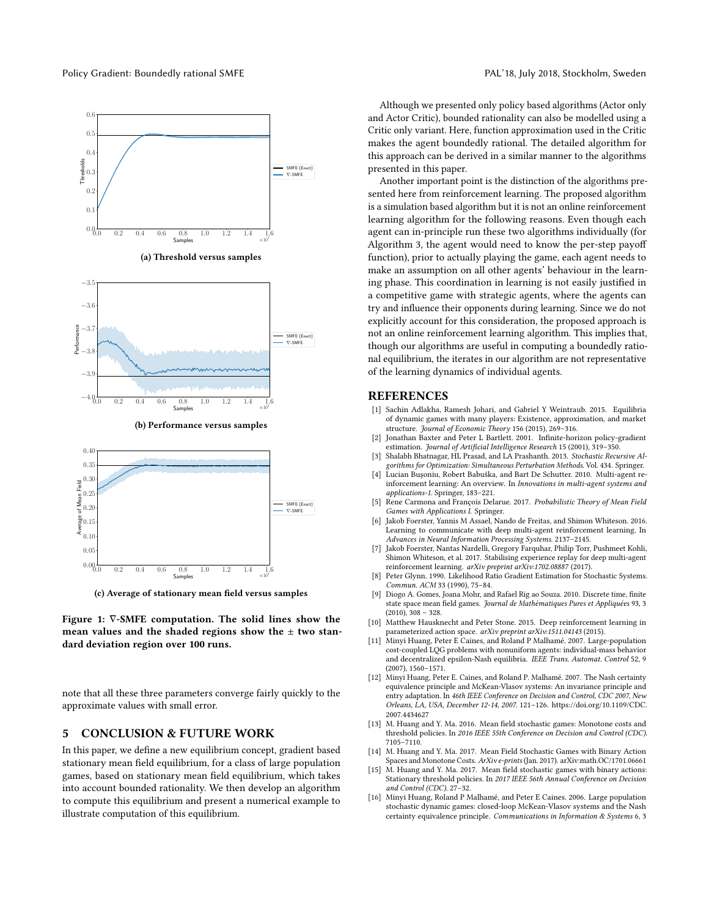<span id="page-4-16"></span>

(a) Threshold versus samples



(b) Performance versus samples



(c) Average of stationary mean field versus samples

Figure 1: ∇-SMFE computation. The solid lines show the mean values and the shaded regions show the  $\pm$  two standard deviation region over 100 runs.

note that all these three parameters converge fairly quickly to the approximate values with small error.

#### 5 CONCLUSION & FUTURE WORK

In this paper, we define a new equilibrium concept, gradient based stationary mean field equilibrium, for a class of large population games, based on stationary mean field equilibrium, which takes into account bounded rationality. We then develop an algorithm to compute this equilibrium and present a numerical example to illustrate computation of this equilibrium.

Although we presented only policy based algorithms (Actor only and Actor Critic), bounded rationality can also be modelled using a Critic only variant. Here, function approximation used in the Critic makes the agent boundedly rational. The detailed algorithm for this approach can be derived in a similar manner to the algorithms presented in this paper.

Another important point is the distinction of the algorithms presented here from reinforcement learning. The proposed algorithm is a simulation based algorithm but it is not an online reinforcement learning algorithm for the following reasons. Even though each agent can in-principle run these two algorithms individually (for Algorithm [3,](#page-3-1) the agent would need to know the per-step payoff function), prior to actually playing the game, each agent needs to make an assumption on all other agents' behaviour in the learning phase. This coordination in learning is not easily justified in a competitive game with strategic agents, where the agents can try and influence their opponents during learning. Since we do not explicitly account for this consideration, the proposed approach is not an online reinforcement learning algorithm. This implies that, though our algorithms are useful in computing a boundedly rational equilibrium, the iterates in our algorithm are not representative of the learning dynamics of individual agents.

#### REFERENCES

- <span id="page-4-2"></span>[1] Sachin Adlakha, Ramesh Johari, and Gabriel Y Weintraub. 2015. Equilibria of dynamic games with many players: Existence, approximation, and market structure. Journal of Economic Theory 156 (2015), 269-316.
- <span id="page-4-3"></span>[2] Jonathan Baxter and Peter L Bartlett. 2001. Infinite-horizon policy-gradient estimation. Journal of Artificial Intelligence Research 15 (2001), 319-350.
- <span id="page-4-13"></span>[3] Shalabh Bhatnagar, HL Prasad, and LA Prashanth. 2013. Stochastic Recursive Algorithms for Optimization: Simultaneous Perturbation Methods. Vol. 434. Springer.
- <span id="page-4-7"></span>[4] Lucian Buşoniu, Robert Babuška, and Bart De Schutter. 2010. Multi-agent reinforcement learning: An overview. In Innovations in multi-agent systems and applications-1. Springer, 183-221.
- <span id="page-4-8"></span>[5] Rene Carmona and François Delarue. 2017. Probabilistic Theory of Mean Field Games with Applications I. Springer.
- <span id="page-4-4"></span>[6] Jakob Foerster, Yannis M Assael, Nando de Freitas, and Shimon Whiteson. 2016. Learning to communicate with deep multi-agent reinforcement learning. In Advances in Neural Information Processing Systems. 2137-2145.
- <span id="page-4-5"></span>[7] Jakob Foerster, Nantas Nardelli, Gregory Farquhar, Philip Torr, Pushmeet Kohli, Shimon Whiteson, et al. 2017. Stabilising experience replay for deep multi-agent reinforcement learning. arXiv preprint arXiv:1702.08887 (2017).
- <span id="page-4-14"></span>[8] Peter Glynn. 1990. Likelihood Ratio Gradient Estimation for Stochastic Systems. Commun. ACM 33 (1990), 75-84.
- <span id="page-4-11"></span>[9] Diogo A. Gomes, Joana Mohr, and Rafael Rig ao Souza. 2010. Discrete time, finite state space mean field games. Journal de Mathématiques Pures et Appliquées 93, 3  $(2010), 308 - 328.$
- <span id="page-4-6"></span>[10] Matthew Hausknecht and Peter Stone. 2015. Deep reinforcement learning in parameterized action space. arXiv preprint arXiv:1511.04143 (2015).
- <span id="page-4-0"></span>[11] Minyi Huang, Peter E Caines, and Roland P Malhamé. 2007. Large-population cost-coupled LQG problems with nonuniform agents: individual-mass behavior and decentralized epsilon-Nash equilibria. IEEE Trans. Automat. Control 52, 9  $(2007), 1560 - 1571.$
- <span id="page-4-9"></span>[12] Minyi Huang, Peter E. Caines, and Roland P. Malhamé. 2007. The Nash certainty equivalence principle and McKean-Vlasov systems: An invariance principle and entry adaptation. In 46th IEEE Conference on Decision and Control, CDC 2007, New Orleans, LA, USA, December 12-14, 2007. 121-126. [https://doi.org/10.1109/CDC.](https://doi.org/10.1109/CDC.2007.4434627) [2007.4434627](https://doi.org/10.1109/CDC.2007.4434627)
- <span id="page-4-12"></span>[13] M. Huang and Y. Ma. 2016. Mean field stochastic games: Monotone costs and threshold policies. In 2016 IEEE 55th Conference on Decision and Control (CDC). 7105-7110.
- <span id="page-4-15"></span>[14] M. Huang and Y. Ma. 2017. Mean Field Stochastic Games with Binary Action Spaces and Monotone Costs. ArXiv e-prints (Jan. 2017). arXiv[:math.OC/1701.06661](http://arxiv.org/abs/math.OC/1701.06661)
- <span id="page-4-10"></span>[15] M. Huang and Y. Ma. 2017. Mean field stochastic games with binary actions: Stationary threshold policies. In 2017 IEEE 56th Annual Conference on Decision and Control (CDC), 27-32.
- <span id="page-4-1"></span>[16] Minyi Huang, Roland P Malhamé, and Peter E Caines. 2006. Large population stochastic dynamic games: closed-loop McKean-Vlasov systems and the Nash certainty equivalence principle. Communications in Information & Systems 6, 3